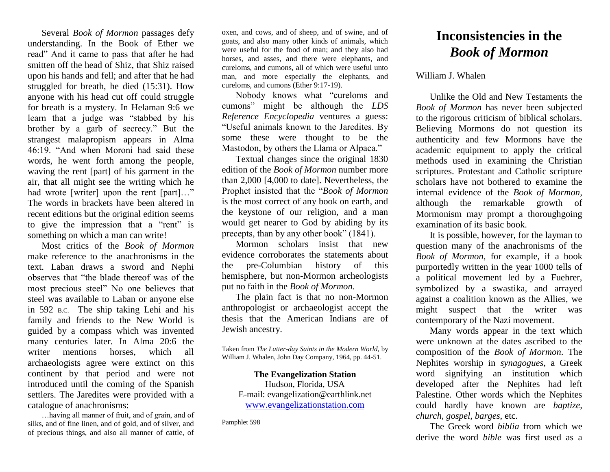Several *Book of Mormon* passages defy understanding. In the Book of Ether we read" And it came to pass that after he had smitten off the head of Shiz, that Shiz raised upon his hands and fell; and after that he had struggled for breath, he died (15:31). How anyone with his head cut off could struggle for breath is a mystery. In Helaman 9:6 we learn that a judge was "stabbed by his brother by a garb of secrecy." But the strangest malapropism appears in Alma 46:19. "And when Moroni had said these words, he went forth among the people, waving the rent [part] of his garment in the air, that all might see the writing which he had wrote [writer] upon the rent [part]..." The words in brackets have been altered in recent editions but the original edition seems to give the impression that a "rent" is something on which a man can write!

Most critics of the *Book of Mormon* make reference to the anachronisms in the text. Laban draws a sword and Nephi observes that "the blade thereof was of the most precious steel" No one believes that steel was available to Laban or anyone else in 592 B.C. The ship taking Lehi and his family and friends to the New World is guided by a compass which was invented many centuries later. In Alma 20:6 the writer mentions horses, which all archaeologists agree were extinct on this continent by that period and were not introduced until the coming of the Spanish settlers. The Jaredites were provided with a catalogue of anachronisms:

…having all manner of fruit, and of grain, and of silks, and of fine linen, and of gold, and of silver, and of precious things, and also all manner of cattle, of

oxen, and cows, and of sheep, and of swine, and of goats, and also many other kinds of animals, which were useful for the food of man; and they also had horses, and asses, and there were elephants, and cureloms, and cumons, all of which were useful unto man, and more especially the elephants, and cureloms, and cumons (Ether 9:17-19).

Nobody knows what "cureloms and cumons" might be although the *LDS Reference Encyclopedia* ventures a guess: "Useful animals known to the Jaredites. By some these were thought to be the Mastodon, by others the Llama or Alpaca."

Textual changes since the original 1830 edition of the *Book of Mormon* number more than 2,000 [4,000 to date]. Nevertheless, the Prophet insisted that the "*Book of Mormon* is the most correct of any book on earth, and the keystone of our religion, and a man would get nearer to God by abiding by its precepts, than by any other book" (1841).

Mormon scholars insist that new evidence corroborates the statements about the pre-Columbian history of this hemisphere, but non-Mormon archeologists put no faith in the *Book of Mormon.* 

The plain fact is that no non-Mormon anthropologist or archaeologist accept the thesis that the American Indians are of Jewish ancestry.

Taken from *The Latter-day Saints in the Modern World,* by William J. Whalen, John Day Company, 1964, pp. 44-51.

**The Evangelization Station** Hudson, Florida, USA E-mail: evangelization@earthlink.net [www.evangelizationstation.com](http://www.pjpiisoe.org/)

Pamphlet 598

## **Inconsistencies in the** *Book of Mormon*

## William J. Whalen

Unlike the Old and New Testaments the *Book of Mormon* has never been subjected to the rigorous criticism of biblical scholars. Believing Mormons do not question its authenticity and few Mormons have the academic equipment to apply the critical methods used in examining the Christian scriptures. Protestant and Catholic scripture scholars have not bothered to examine the internal evidence of the *Book of Mormon,*  although the remarkable growth of Mormonism may prompt a thoroughgoing examination of its basic book.

It is possible, however, for the layman to question many of the anachronisms of the *Book of Mormon*, for example, if a book purportedly written in the year 1000 tells of a political movement led by a Fuehrer, symbolized by a swastika, and arrayed against a coalition known as the Allies, we might suspect that the writer was contemporary of the Nazi movement.

Many words appear in the text which were unknown at the dates ascribed to the composition of the *Book of Mormon*. The Nephites worship in *synagogues*, a Greek word signifying an institution which developed after the Nephites had left Palestine. Other words which the Nephites could hardly have known are *baptize, church, gospel, barges*, etc.

The Greek word *biblia* from which we derive the word *bible* was first used as a